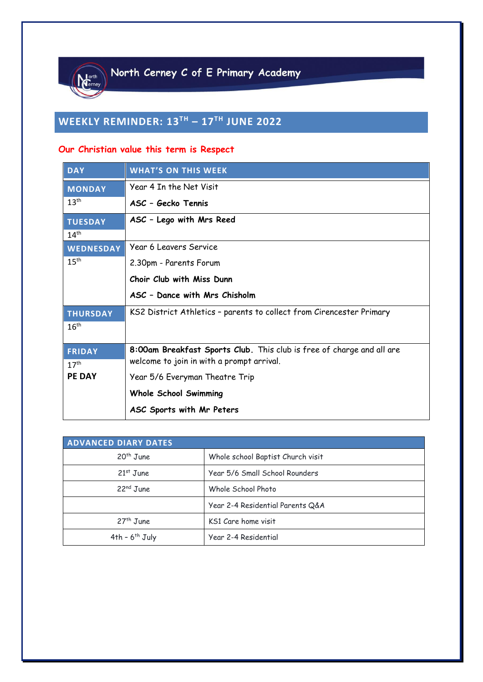

# **WEEKLY REMINDER: 13TH – 17 TH JUNE 2022**

# **Our Christian value this term is Respect**

| <b>DAY</b>       | <b>WHAT'S ON THIS WEEK</b>                                                                                         |
|------------------|--------------------------------------------------------------------------------------------------------------------|
| <b>MONDAY</b>    | Year 4 In the Net Visit                                                                                            |
| 13 <sup>th</sup> | ASC - Gecko Tennis                                                                                                 |
| <b>TUESDAY</b>   | ASC - Lego with Mrs Reed                                                                                           |
| 14 <sup>th</sup> |                                                                                                                    |
| <b>WEDNESDAY</b> | Year 6 Leavers Service                                                                                             |
| 15 <sup>th</sup> | 2.30pm - Parents Forum                                                                                             |
|                  | Choir Club with Miss Dunn                                                                                          |
|                  | ASC - Dance with Mrs Chisholm                                                                                      |
| <b>THURSDAY</b>  | KS2 District Athletics - parents to collect from Cirencester Primary                                               |
| 16 <sup>th</sup> |                                                                                                                    |
|                  |                                                                                                                    |
| <b>FRIDAY</b>    | 8:00am Breakfast Sports Club. This club is free of charge and all are<br>welcome to join in with a prompt arrival. |
| 17 <sup>th</sup> |                                                                                                                    |
| <b>PE DAY</b>    | Year 5/6 Everyman Theatre Trip                                                                                     |
|                  | <b>Whole School Swimming</b>                                                                                       |
|                  | ASC Sports with Mr Peters                                                                                          |

| ADVANCED DIARY DATES  |                                   |  |  |
|-----------------------|-----------------------------------|--|--|
| $20th$ June           | Whole school Baptist Church visit |  |  |
| $21st$ June           | Year 5/6 Small School Rounders    |  |  |
| 22 <sup>nd</sup> June | Whole School Photo                |  |  |
|                       | Year 2-4 Residential Parents Q&A  |  |  |
| $27th$ June           | KS1 Care home visit               |  |  |
| $4th - 6th$ July      | Year 2-4 Residential              |  |  |